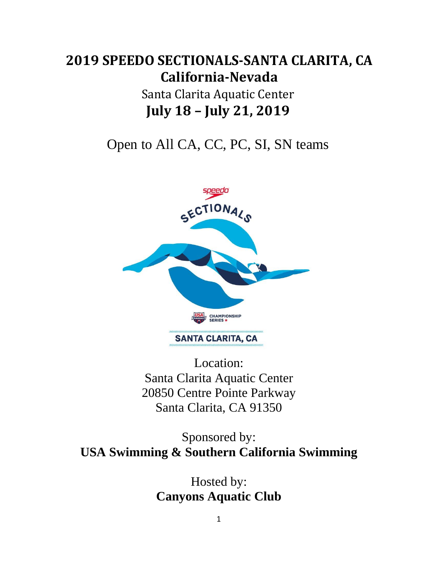# **2019 SPEEDO SECTIONALS-SANTA CLARITA, CA California-Nevada**

# Santa Clarita Aquatic Center  **July 18 – July 21, 2019**

Open to All CA, CC, PC, SI, SN teams



Location: Santa Clarita Aquatic Center 20850 Centre Pointe Parkway Santa Clarita, CA 91350

Sponsored by: **USA Swimming & Southern California Swimming**

> Hosted by: **Canyons Aquatic Club**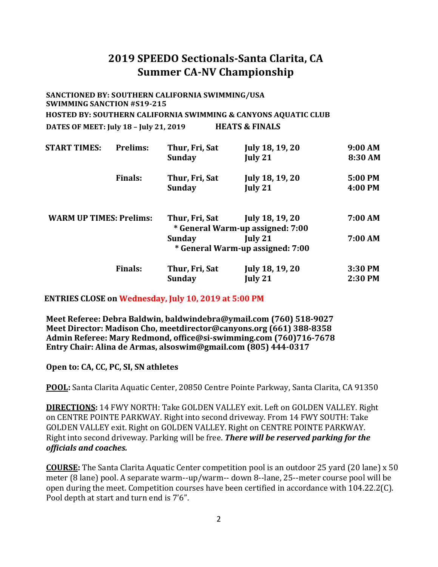## **2019 SPEEDO Sectionals-Santa Clarita, CA Summer CA-NV Championship**

#### **SANCTIONED BY: SOUTHERN CALIFORNIA SWIMMING/USA SWIMMING SANCTION #S19-215 HOSTED BY: SOUTHERN CALIFORNIA SWIMMING & CANYONS AQUATIC CLUB DATES OF MEET: July 18 – July 21, 2019 HEATS & FINALS**

| <b>START TIMES:</b>            | <b>Prelims:</b> | Thur, Fri, Sat<br><b>Sunday</b> | July 18, 19, 20<br>July 21              | 9:00 AM<br>8:30 AM |
|--------------------------------|-----------------|---------------------------------|-----------------------------------------|--------------------|
|                                |                 |                                 |                                         |                    |
|                                | <b>Finals:</b>  | Thur, Fri, Sat                  | July 18, 19, 20                         | 5:00 PM            |
|                                |                 | <b>Sunday</b>                   | July 21                                 | 4:00 PM            |
| <b>WARM UP TIMES: Prelims:</b> |                 | Thur, Fri, Sat                  | July 18, 19, 20                         | 7:00 AM            |
|                                |                 |                                 | * General Warm-up assigned: 7:00        |                    |
|                                |                 | <b>Sunday</b>                   | July 21                                 | 7:00 AM            |
|                                |                 |                                 | <i>*</i> General Warm-up assigned: 7:00 |                    |
|                                | <b>Finals:</b>  | Thur, Fri, Sat                  | July 18, 19, 20                         | 3:30 PM            |
|                                |                 | Sunday                          | July 21                                 | 2:30 PM            |

#### **ENTRIES CLOSE on Wednesday, July 10, 2019 at 5:00 PM**

**Meet Referee: Debra Baldwin, [baldwindebra@ymail.com](mailto:baldwindebra@ymail.com) (760) 518-9027 Meet Director: Madison Cho, [meetdirector@canyons.org](mailto:meetdirector@canyons.org) (661) 388-8358 Admin Referee: Mary Redmond[, office@si-swimming.com](mailto:office@si-swimming.com) (760)716-7678 Entry Chair: Alina de Armas, [alsoswim@gmail.com](mailto:alsoswim@gmail.com) (805) 444-0317**

#### **Open to: CA, CC, PC, SI, SN athletes**

**POOL:** Santa Clarita Aquatic Center, 20850 Centre Pointe Parkway, Santa Clarita, CA 91350

**DIRECTIONS:** 14 FWY NORTH: Take GOLDEN VALLEY exit. Left on GOLDEN VALLEY. Right on CENTRE POINTE PARKWAY. Right into second driveway. From 14 FWY SOUTH: Take GOLDEN VALLEY exit. Right on GOLDEN VALLEY. Right on CENTRE POINTE PARKWAY. Right into second driveway. Parking will be free. *There will be reserved parking for the officials and coaches.* 

**COURSE:** The Santa Clarita Aquatic Center competition pool is an outdoor 25 yard (20 lane) x 50 meter (8 lane) pool. A separate warm--up/warm-- down 8--lane, 25--meter course pool will be open during the meet. Competition courses have been certified in accordance with 104.22.2(C). Pool depth at start and turn end is 7'6".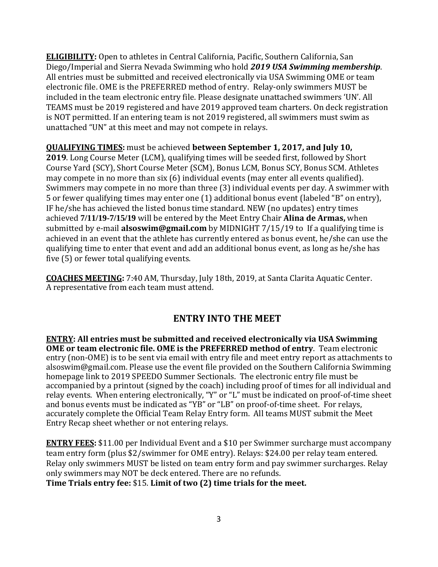**ELIGIBILITY:** Open to athletes in Central California, Pacific, Southern California, San Diego/Imperial and Sierra Nevada Swimming who hold *2019 USA Swimming membership*. All entries must be submitted and received electronically via USA Swimming OME or team electronic file. OME is the PREFERRED method of entry. Relay-only swimmers MUST be included in the team electronic entry file. Please designate unattached swimmers 'UN'. All TEAMS must be 2019 registered and have 2019 approved team charters. On deck registration is NOT permitted. If an entering team is not 2019 registered, all swimmers must swim as unattached "UN" at this meet and may not compete in relays.

**QUALIFYING TIMES:** must be achieved **between September 1, 2017, and July 10,** 

**2019**. Long Course Meter (LCM), qualifying times will be seeded first, followed by Short Course Yard (SCY), Short Course Meter (SCM), Bonus LCM, Bonus SCY, Bonus SCM. Athletes may compete in no more than six (6) individual events (may enter all events qualified). Swimmers may compete in no more than three (3) individual events per day. A swimmer with 5 or fewer qualifying times may enter one (1) additional bonus event (labeled "B" on entry), IF he/she has achieved the listed bonus time standard. NEW (no updates) entry times achieved **7/11/19-7/15/19** will be entered by the Meet Entry Chair **Alina de Armas,** [when](mailto:sisectionals@gmail.com)  submitted by e-mail **alsoswim@gmail.com** [by MIDNIGHT 7/15/19 to](mailto:sisectionals@gmail.com) If a qualifying time is achieved in an event that the athlete has currently entered as bonus event, he/she can use the qualifying time to enter that event and add an additional bonus event, as long as he/she has five (5) or fewer total qualifying events.

**COACHES MEETING:** 7:40 AM, Thursday, July 18th, 2019, at Santa Clarita Aquatic Center. A representative from each team must attend.

### **ENTRY INTO THE MEET**

**ENTRY: All entries must be submitted and received electronically via USA Swimming OME or team electronic file. OME is the PREFERRED method of entry**. Team electronic entry (non-OME) is to be sent via email with entry file and meet entry report as attachments to alsoswim@gmail.com. Please use the event file provided on the Southern California Swimming homepage link to 2019 SPEEDO Summer Sectionals. The electronic entry file must be accompanied by a printout (signed by the coach) including proof of times for all individual and relay events. When entering electronically, "Y" or "L" must be indicated on proof-of-time sheet and bonus events must be indicated as "YB" or "LB" on proof-of-time sheet. For relays, accurately complete the Official Team Relay Entry form. All teams MUST submit the Meet Entry Recap sheet whether or not entering relays.

**ENTRY FEES:** \$11.00 per Individual Event and a \$10 per Swimmer surcharge must accompany team entry form (plus \$2/swimmer for OME entry). Relays: \$24.00 per relay team entered. Relay only swimmers MUST be listed on team entry form and pay swimmer surcharges. Relay only swimmers may NOT be deck entered. There are no refunds. **Time Trials entry fee:** \$15. **Limit of two (2) time trials for the meet.**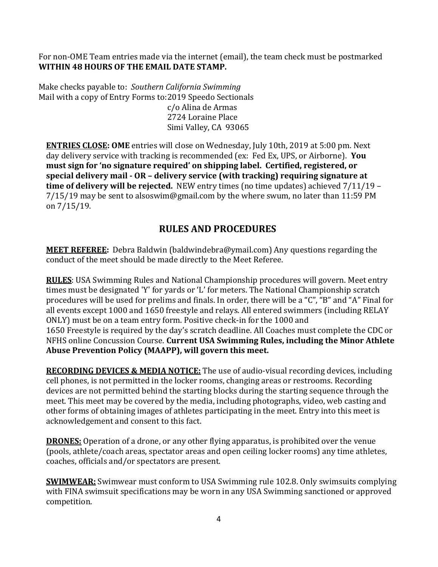For non-OME Team entries made via the internet (email), the team check must be postmarked **WITHIN 48 HOURS OF THE EMAIL DATE STAMP.**

Make checks payable to: *Southern California Swimming*  Mail with a copy of Entry Forms to:2019 Speedo Sectionals c/o Alina de Armas 2724 Loraine Place Simi Valley, CA 93065

**ENTRIES CLOSE: OME** entries will close on Wednesday, July 10th, 2019 at 5:00 pm. Next day delivery service with tracking is recommended (ex: Fed Ex, UPS, or Airborne). **You must sign for 'no signature required' on shipping label. Certified, registered, or special delivery mail - OR – delivery service (with tracking) requiring signature at time of delivery will be rejected.** NEW entry times (no time updates) achieved 7/11/19 – 7/15/19 may be sent to alsoswim@gmail.com by the where swum, no later than 11:59 PM on 7/15/19.

## **RULES AND PROCEDURES**

**MEET REFEREE:** Debra Baldwin (baldwindebra@ymail.com) Any questions regarding the conduct of the meet should be made directly to the Meet Referee.

**RULES**: USA Swimming Rules and National Championship procedures will govern. Meet entry times must be designated 'Y' for yards or 'L' for meters. The National Championship scratch procedures will be used for prelims and finals. In order, there will be a "C", "B" and "A" Final for all events except 1000 and 1650 freestyle and relays. All entered swimmers (including RELAY ONLY) must be on a team entry form. Positive check-in for the 1000 and 1650 Freestyle is required by the day's scratch deadline. All Coaches must complete the CDC or NFHS online Concussion Course. **Current USA Swimming Rules, including the Minor Athlete Abuse Prevention Policy (MAAPP), will govern this meet.**

**RECORDING DEVICES & MEDIA NOTICE:** The use of audio-visual recording devices, including cell phones, is not permitted in the locker rooms, changing areas or restrooms. Recording devices are not permitted behind the starting blocks during the starting sequence through the meet. This meet may be covered by the media, including photographs, video, web casting and other forms of obtaining images of athletes participating in the meet. Entry into this meet is acknowledgement and consent to this fact.

**DRONES:** Operation of a drone, or any other flying apparatus, is prohibited over the venue (pools, athlete/coach areas, spectator areas and open ceiling locker rooms) any time athletes, coaches, officials and/or spectators are present.

**SWIMWEAR:** Swimwear must conform to USA Swimming rule 102.8. Only swimsuits complying with FINA swimsuit specifications may be worn in any USA Swimming sanctioned or approved competition.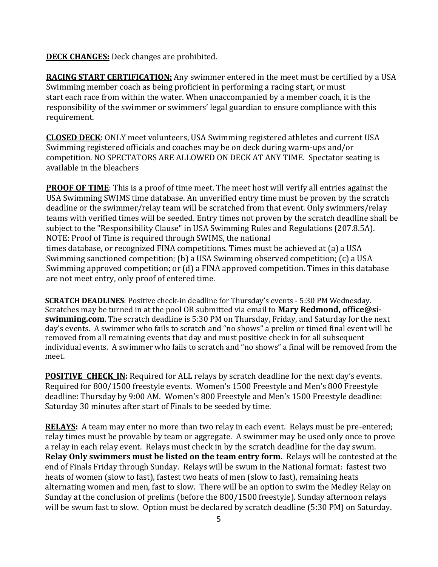**DECK CHANGES:** Deck changes are prohibited.

**RACING START CERTIFICATION:** Any swimmer entered in the meet must be certified by a USA Swimming member coach as being proficient in performing a racing start, or must start each race from within the water. When unaccompanied by a member coach, it is the responsibility of the swimmer or swimmers' legal guardian to ensure compliance with this requirement.

**CLOSED DECK**: ONLY meet volunteers, USA Swimming registered athletes and current USA Swimming registered officials and coaches may be on deck during warm-ups and/or competition. NO SPECTATORS ARE ALLOWED ON DECK AT ANY TIME. Spectator seating is available in the bleachers

**PROOF OF TIME**: This is a proof of time meet. The meet host will verify all entries against the USA Swimming SWIMS time database. An unverified entry time must be proven by the scratch deadline or the swimmer/relay team will be scratched from that event. Only swimmers/relay teams with verified times will be seeded. Entry times not proven by the scratch deadline shall be subject to the "Responsibility Clause" in USA Swimming Rules and Regulations (207.8.5A). NOTE: Proof of Time is required through SWIMS, the national times database, or recognized FINA competitions. Times must be achieved at (a) a USA Swimming sanctioned competition; (b) a USA Swimming observed competition; (c) a USA Swimming approved competition; or (d) a FINA approved competition. Times in this database are not meet entry, only proof of entered time.

**SCRATCH DEADLINES**: Positive check-in deadline for Thursday's events - 5:30 PM Wednesday. Scratches may be turned in at the pool OR submitted via email to **Mary Redmond, office@siswimming.com**. The scratch deadline is 5:30 PM on Thursday, Friday, and Saturday for the next day's events. A swimmer who fails to scratch and "no shows" a prelim or timed final event will be removed from all remaining events that day and must positive check in for all subsequent individual events. A swimmer who fails to scratch and "no shows" a final will be removed from the meet.

**POSITIVE CHECK IN:** Required for ALL relays by scratch deadline for the next day's events. Required for 800/1500 freestyle events. Women's 1500 Freestyle and Men's 800 Freestyle deadline: Thursday by 9:00 AM. Women's 800 Freestyle and Men's 1500 Freestyle deadline: Saturday 30 minutes after start of Finals to be seeded by time.

**RELAYS:** A team may enter no more than two relay in each event. Relays must be pre-entered; relay times must be provable by team or aggregate. A swimmer may be used only once to prove a relay in each relay event. Relays must check in by the scratch deadline for the day swum. **Relay Only swimmers must be listed on the team entry form.** Relays will be contested at the end of Finals Friday through Sunday. Relays will be swum in the National format: fastest two heats of women (slow to fast), fastest two heats of men (slow to fast), remaining heats alternating women and men, fast to slow. There will be an option to swim the Medley Relay on Sunday at the conclusion of prelims (before the 800/1500 freestyle). Sunday afternoon relays will be swum fast to slow. Option must be declared by scratch deadline (5:30 PM) on Saturday.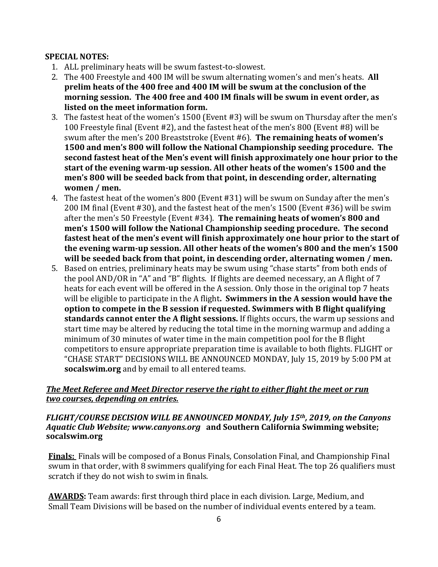#### **SPECIAL NOTES:**

- 1. ALL preliminary heats will be swum fastest-to-slowest.
- 2. The 400 Freestyle and 400 IM will be swum alternating women's and men's heats. **All prelim heats of the 400 free and 400 IM will be swum at the conclusion of the morning session. The 400 free and 400 IM finals will be swum in event order, as listed on the meet information form.**
- 3. The fastest heat of the women's 1500 (Event #3) will be swum on Thursday after the men's 100 Freestyle final (Event #2), and the fastest heat of the men's 800 (Event #8) will be swum after the men's 200 Breaststroke (Event #6). **The remaining heats of women's 1500 and men's 800 will follow the National Championship seeding procedure. The second fastest heat of the Men's event will finish approximately one hour prior to the start of the evening warm-up session. All other heats of the women's 1500 and the men's 800 will be seeded back from that point, in descending order, alternating women / men.**
- 4. The fastest heat of the women's 800 (Event #31) will be swum on Sunday after the men's 200 IM final (Event #30), and the fastest heat of the men's 1500 (Event #36) will be swim after the men's 50 Freestyle (Event #34). **The remaining heats of women's 800 and men's 1500 will follow the National Championship seeding procedure. The second fastest heat of the men's event will finish approximately one hour prior to the start of the evening warm-up session. All other heats of the women's 800 and the men's 1500 will be seeded back from that point, in descending order, alternating women / men.**
- 5. Based on entries, preliminary heats may be swum using "chase starts" from both ends of the pool AND/OR in "A" and "B" flights. If flights are deemed necessary, an A flight of 7 heats for each event will be offered in the A session. Only those in the original top 7 heats will be eligible to participate in the A flight**. Swimmers in the A session would have the option to compete in the B session if requested. Swimmers with B flight qualifying standards cannot enter the A flight sessions.** If flights occurs, the warm up sessions and start time may be altered by reducing the total time in the morning warmup and adding a minimum of 30 minutes of water time in the main competition pool for the B flight competitors to ensure appropriate preparation time is available to both flights. FLIGHT or "CHASE START" DECISIONS WILL BE ANNOUNCED MONDAY, July 15, 2019 by 5:00 PM at **socalswim.org** and by email to all entered teams.

#### *The Meet Referee and Meet Director reserve the right to either flight the meet or run two courses, depending on entries.*

#### *FLIGHT/COURSE DECISION WILL BE ANNOUNCED MONDAY, July 15th, 2019, on the Canyons Aquatic Club Website; [www.canyons.org](http://www.canyons.org/)* **and Southern California Swimming website; socalswim.org**

**Finals:** Finals will be composed of a Bonus Finals, Consolation Final, and Championship Final swum in that order, with 8 swimmers qualifying for each Final Heat. The top 26 qualifiers must scratch if they do not wish to swim in finals.

**AWARDS:** Team awards: first through third place in each division. Large, Medium, and Small Team Divisions will be based on the number of individual events entered by a team.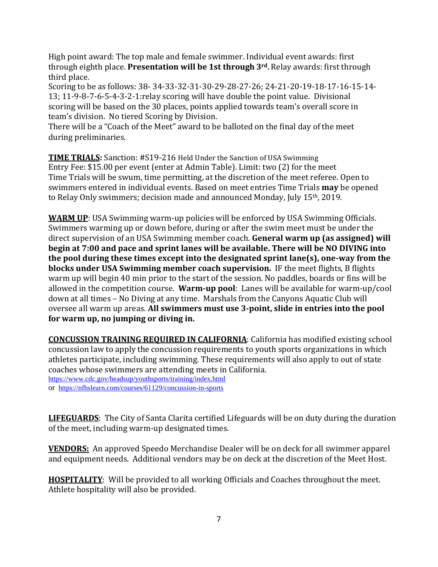High point award: The top male and female swimmer. Individual event awards: first through eighth place. **Presentation will be 1st through 3rd.** Relay awards: first through third place.

Scoring to be as follows: 38- 34-33-32-31-30-29-28-27-26; 24-21-20-19-18-17-16-15-14- 13; 11-9-8-7-6-5-4-3-2-1:relay scoring will have double the point value. Divisional scoring will be based on the 30 places, points applied towards team's overall score in team's division. No tiered Scoring by Division.

There will be a "Coach of the Meet" award to be balloted on the final day of the meet during preliminaries.

**TIME TRIALS:** Sanction: #S19-216 Held Under the Sanction of USA Swimming Entry Fee: \$15.00 per event (enter at Admin Table). Limit: two (2) for the meet Time Trials will be swum, time permitting, at the discretion of the meet referee. Open to swimmers entered in individual events. Based on meet entries Time Trials **may** be opened to Relay Only swimmers; decision made and announced Monday, July 15th, 2019.

**WARM UP**: USA Swimming warm-up policies will be enforced by USA Swimming Officials. Swimmers warming up or down before, during or after the swim meet must be under the direct supervision of an USA Swimming member coach. **General warm up (as assigned) will begin at 7:00 and pace and sprint lanes will be available. There will be NO DIVING into the pool during these times except into the designated sprint lane(s), one-way from the blocks under USA Swimming member coach supervision.** IF the meet flights, B flights warm up will begin 40 min prior to the start of the session. No paddles, boards or fins will be allowed in the competition course. **Warm-up pool**: Lanes will be available for warm-up/cool down at all times – No Diving at any time. Marshals from the Canyons Aquatic Club will oversee all warm up areas. **All swimmers must use 3-point, slide in entries into the pool for warm up, no jumping or diving in.**

**CONCUSSION TRAINING REQUIRED IN CALIFORNIA**: California has modified existing school concussion law to apply the concussion requirements to youth sports organizations in which athletes participate, including swimming. These requirements will also apply to out of state coaches whose swimmers are attending meets in California. <https://www.cdc.gov/headsup/youthsports/training/index.html> or<https://nfhslearn.com/courses/61129/concussion-in-sports>

**LIFEGUARDS**: The City of Santa Clarita certified Lifeguards will be on duty during the duration of the meet, including warm-up designated times.

**VENDORS:** An approved Speedo Merchandise Dealer will be on deck for all swimmer apparel and equipment needs. Additional vendors may be on deck at the discretion of the Meet Host.

**HOSPITALITY**: Will be provided to all working Officials and Coaches throughout the meet. Athlete hospitality will also be provided.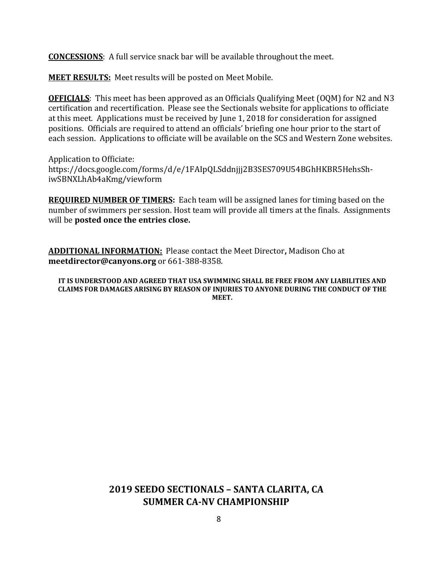**CONCESSIONS**: A full service snack bar will be available throughout the meet.

**MEET RESULTS:** Meet results will be posted on Meet Mobile.

**OFFICIALS**: This meet has been approved as an Officials Qualifying Meet (OQM) for N2 and N3 certification and recertification. Please see the Sectionals website for applications to officiate at this meet. Applications must be received by June 1, 2018 for consideration for assigned positions. Officials are required to attend an officials' briefing one hour prior to the start of each session. Applications to officiate will be available on the SCS and Western Zone websites.

Application to Officiate: https://docs.google.com/forms/d/e/1FAIpQLSddnjjj2B3SES709U54BGhHKBR5HehsShiwSBNXLhAb4aKmg/viewform

**REQUIRED NUMBER OF TIMERS:** Each team will be assigned lanes for timing based on the number of swimmers per session. Host team will provide all timers at the finals. Assignments will be **posted once the entries close.**

**ADDITIONAL INFORMATION:** Please contact the Meet Director**,** Madison Cho at **[meetdirector@canyons.org](mailto:meetdirector@canyons.org)** or 661-388-8358.

**IT IS UNDERSTOOD AND AGREED THAT USA SWIMMING SHALL BE FREE FROM ANY LIABILITIES AND CLAIMS FOR DAMAGES ARISING BY REASON OF INJURIES TO ANYONE DURING THE CONDUCT OF THE MEET.**

## **2019 SEEDO SECTIONALS – SANTA CLARITA, CA SUMMER CA-NV CHAMPIONSHIP**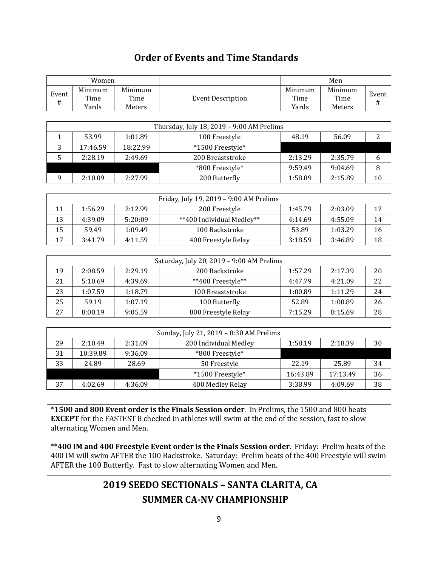## **Order of Events and Time Standards**

Г

|              | Women                    |                           |                                           |                          | Men                       |                |
|--------------|--------------------------|---------------------------|-------------------------------------------|--------------------------|---------------------------|----------------|
| Event<br>#   | Minimum<br>Time<br>Yards | Minimum<br>Time<br>Meters | <b>Event Description</b>                  | Minimum<br>Time<br>Yards | Minimum<br>Time<br>Meters | Event<br>$\#$  |
|              |                          |                           |                                           |                          |                           |                |
|              |                          |                           | Thursday, July 18, 2019 - 9:00 AM Prelims |                          |                           |                |
| $\mathbf{1}$ | 53.99                    | 1:01.89                   | 100 Freestyle                             | 48.19                    | 56.09                     | $\overline{2}$ |
| 3            | 17:46.59                 | 18:22.99                  | *1500 Freestyle*                          |                          |                           |                |
| 5            | 2:28.19                  | 2:49.69                   | 200 Breaststroke                          | 2:13.29                  | 2:35.79                   | 6              |
|              |                          |                           | *800 Freestyle*                           | 9:59.49                  | 9:04.69                   | 8              |
| 9            | 2:10.09                  | 2:27.99                   | 200 Butterfly                             | 1:58.89                  | 2:15.89                   | 10             |
|              |                          |                           |                                           |                          |                           |                |
|              |                          |                           | Friday, July 19, 2019 - 9:00 AM Prelims   |                          |                           |                |
| 11           | 1:56.29                  | 2:12.99                   | 200 Freestyle                             | 1:45.79                  | 2:03.09                   | 12             |
| 13           | 4:39.09                  | 5:20:09                   | **400 Individual Medley**                 | 4:14.69                  | 4:55.09                   | 14             |
| 15           | 59.49                    | 1:09.49                   | 100 Backstroke                            | 53.89                    | 1:03.29                   | 16             |
| 17           | 3:41.79                  | 4:11.59                   | 400 Freestyle Relay                       | 3:18.59                  | 3:46.89                   | 18             |
|              |                          |                           |                                           |                          |                           |                |
|              |                          |                           | Saturday, July 20, 2019 - 9:00 AM Prelims |                          |                           |                |
| 19           | 2:08.59                  | 2:29.19                   | 200 Backstroke                            | 1:57.29                  | 2:17.39                   | 20             |
| 21           | 5:10.69                  | 4:39.69                   | **400 Freestyle**                         | 4:47.79                  | 4:21.09                   | 22             |
| 23           | 1:07.59                  | 1:18.79                   | 100 Breaststroke                          | 1:00.89                  | 1:11.29                   | 24             |
| 25           | 59.19                    | 1:07.19                   | 100 Butterfly                             | 52.89                    | 1:00.89                   | 26             |
| 27           | 8:00.19                  | 9:05.59                   | 800 Freestyle Relay                       | 7:15.29                  | 8:15.69                   | 28             |
|              |                          |                           |                                           |                          |                           |                |
|              |                          |                           | Sunday, July 21, 2019 - 8:30 AM Prelims   |                          |                           |                |
| 29           | 2:10.49                  | 2:31.09                   | 200 Individual Medley                     | 1:58.19                  | 2:18.39                   | 30             |
| 31           | 10:39.89                 | 9:36.09                   | *800 Freestyle*                           |                          |                           |                |
| 33           | 24.89                    | 28.69                     | 50 Freestyle                              | 22.19                    | 25.89                     | 34             |
|              |                          |                           | *1500 Freestyle*                          | 16:43.89                 | 17:13.49                  | 36             |
| 37           | 4:02.69                  | 4:36.09                   | 400 Medley Relay                          | 3:38.99                  | 4:09.69                   | 38             |

\***1500 and 800 Event order is the Finals Session order**. In Prelims, the 1500 and 800 heats **EXCEPT** for the FASTEST 8 checked in athletes will swim at the end of the session, fast to slow alternating Women and Men.

\*\***400 IM and 400 Freestyle Event order is the Finals Session order**. Friday: Prelim heats of the 400 IM will swim AFTER the 100 Backstroke. Saturday: Prelim heats of the 400 Freestyle will swim AFTER the 100 Butterfly. Fast to slow alternating Women and Men.

## **2019 SEEDO SECTIONALS – SANTA CLARITA, CA SUMMER CA-NV CHAMPIONSHIP**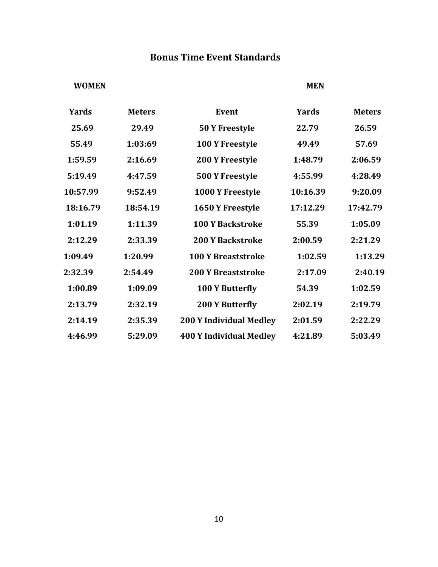## **Bonus Time Event Standards**

#### **WOMEN MEN**

| <b>Yards</b> | <b>Meters</b> | <b>Event</b>                   | <b>Yards</b> | <b>Meters</b> |
|--------------|---------------|--------------------------------|--------------|---------------|
| 25.69        | 29.49         | 50 Y Freestyle                 | 22.79        | 26.59         |
| 55.49        | 1:03:69       | 100 Y Freestyle                | 49.49        | 57.69         |
| 1:59.59      | 2:16.69       | <b>200 Y Freestyle</b>         | 1:48.79      | 2:06.59       |
| 5:19.49      | 4:47.59       | <b>500 Y Freestyle</b>         | 4:55.99      | 4:28.49       |
| 10:57.99     | 9:52.49       | 1000 Y Freestyle               | 10:16.39     | 9:20.09       |
| 18:16.79     | 18:54.19      | 1650 Y Freestyle               | 17:12.29     | 17:42.79      |
| 1:01.19      | 1:11.39       | <b>100 Y Backstroke</b>        | 55.39        | 1:05.09       |
| 2:12.29      | 2:33.39       | <b>200 Y Backstroke</b>        | 2:00.59      | 2:21.29       |
| 1:09.49      | 1:20.99       | <b>100 Y Breaststroke</b>      | 1:02.59      | 1:13.29       |
| 2:32.39      | 2:54.49       | <b>200 Y Breaststroke</b>      | 2:17.09      | 2:40.19       |
| 1:00.89      | 1:09.09       | <b>100 Y Butterfly</b>         | 54.39        | 1:02.59       |
| 2:13.79      | 2:32.19       | <b>200 Y Butterfly</b>         | 2:02.19      | 2:19.79       |
| 2:14.19      | 2:35.39       | <b>200 Y Individual Medley</b> | 2:01.59      | 2:22.29       |
| 4:46.99      | 5:29.09       | <b>400 Y Individual Medley</b> | 4:21.89      | 5:03.49       |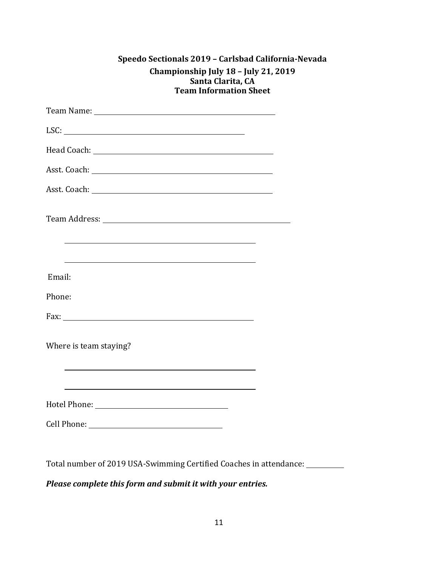| Speedo Sectionals 2019 - Carlsbad California-Nevada |
|-----------------------------------------------------|
| Championship July 18 - July 21, 2019                |
| Santa Clarita, CA                                   |
| <b>Team Information Sheet</b>                       |

| LSC: $\qquad \qquad$                                                                                                                                                                                                          |  |
|-------------------------------------------------------------------------------------------------------------------------------------------------------------------------------------------------------------------------------|--|
|                                                                                                                                                                                                                               |  |
|                                                                                                                                                                                                                               |  |
|                                                                                                                                                                                                                               |  |
|                                                                                                                                                                                                                               |  |
| <u> 1989 - Johann Stoff, amerikansk politiker (* 1908)</u>                                                                                                                                                                    |  |
| the control of the control of the control of the control of the control of the control of the control of the control of the control of the control of the control of the control of the control of the control of the control |  |
| Email:                                                                                                                                                                                                                        |  |
| Phone:                                                                                                                                                                                                                        |  |
|                                                                                                                                                                                                                               |  |
| Where is team staying?<br>and the control of the control of the control of the control of the control of the control of the control of the                                                                                    |  |
| and the control of the control of the control of the control of the control of the control of the control of the                                                                                                              |  |
|                                                                                                                                                                                                                               |  |
|                                                                                                                                                                                                                               |  |

Total number of 2019 USA-Swimming Certified Coaches in attendance:

*Please complete this form and submit it with your entries.*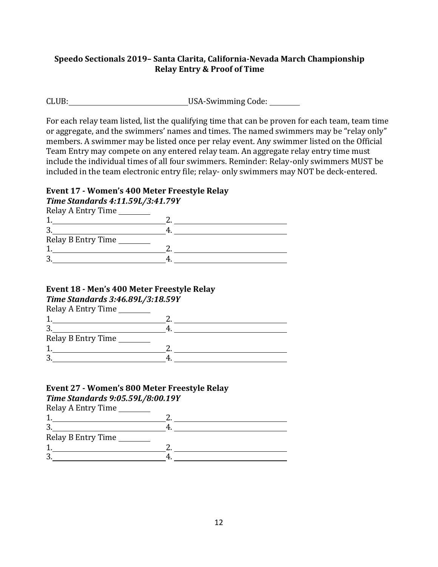#### **Speedo Sectionals 2019– Santa Clarita, California-Nevada March Championship Relay Entry & Proof of Time**

CLUB: CLUB: USA-Swimming Code: \_\_\_\_\_\_\_

For each relay team listed, list the qualifying time that can be proven for each team, team time or aggregate, and the swimmers' names and times. The named swimmers may be "relay only" members. A swimmer may be listed once per relay event. Any swimmer listed on the Official Team Entry may compete on any entered relay team. An aggregate relay entry time must include the individual times of all four swimmers. Reminder: Relay-only swimmers MUST be included in the team electronic entry file; relay- only swimmers may NOT be deck-entered.

#### **Event 17 - Women's 400 Meter Freestyle Relay**

*Time Standards 4:11.59L/3:41.79Y*

| Relay A Entry Time |  |
|--------------------|--|
|                    |  |
| n.)                |  |

| ັ                  |  |
|--------------------|--|
| Relay B Entry Time |  |
|                    |  |
| ، ب                |  |
|                    |  |

#### **Event 18 - Men's 400 Meter Freestyle Relay**

*Time Standards 3:46.89L/3:18.59Y*

| Relay A Entry Time |  |
|--------------------|--|
|                    |  |
|                    |  |
| Relay B Entry Time |  |
|                    |  |
|                    |  |

#### **Event 27 - Women's 800 Meter Freestyle Relay**

*Time Standards 9:05.59L/8:00.19Y* Relay A Entry Time  $1.$  2.  $3.$  4. Relay B Entry Time 1. 2. 3. 4.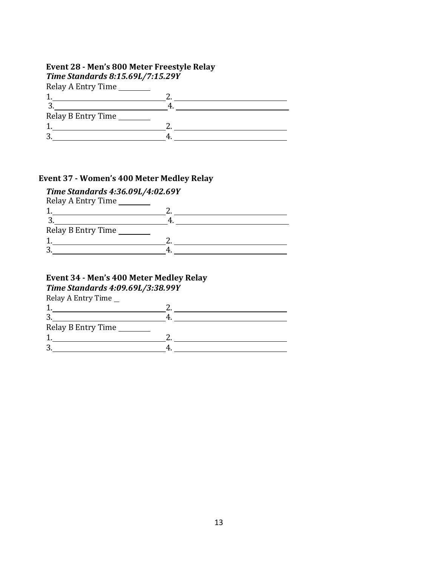#### **Event 28 - Men's 800 Meter Freestyle Relay**

| Time Standards 8:15.69L/7:15.29Y |  |
|----------------------------------|--|
| Relay A Entry Time               |  |
|                                  |  |
|                                  |  |
| Relay B Entry Time               |  |
|                                  |  |
|                                  |  |
|                                  |  |

#### **Event 37 - Women's 400 Meter Medley Relay**

## *Time Standards 4:36.09L/4:02.69Y*

| Relay A Entry Time |  |
|--------------------|--|
|                    |  |
|                    |  |
| Relay B Entry Time |  |
|                    |  |
|                    |  |

## **Event 34 - Men's 400 Meter Medley Relay**

*Time Standards 4:09.69L/3:38.99Y*

| Relay A Entry Time |  |
|--------------------|--|
|--------------------|--|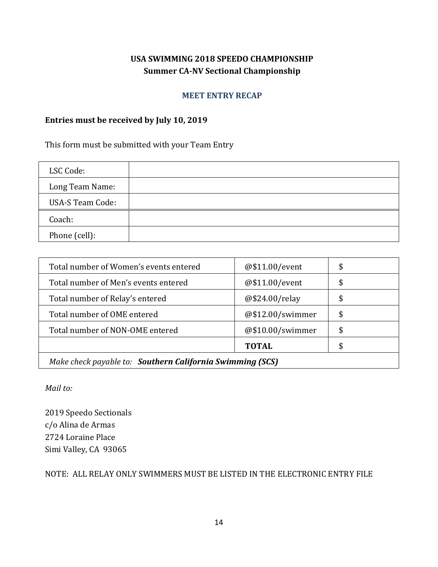### **USA SWIMMING 2018 SPEEDO CHAMPIONSHIP Summer CA-NV Sectional Championship**

#### **MEET ENTRY RECAP**

#### **Entries must be received by July 10, 2019**

This form must be submitted with your Team Entry

| LSC Code:               |  |
|-------------------------|--|
| Long Team Name:         |  |
| <b>USA-S Team Code:</b> |  |
| Coach:                  |  |
| Phone (cell):           |  |

| Total number of Women's events entered                    | @\$11.00/event   | \$ |  |
|-----------------------------------------------------------|------------------|----|--|
| Total number of Men's events entered                      | @\$11.00/event   | \$ |  |
| Total number of Relay's entered                           | @\$24.00/relay   | \$ |  |
| Total number of OME entered                               | @\$12.00/swimmer | \$ |  |
| Total number of NON-OME entered                           | @\$10.00/swimmer | \$ |  |
|                                                           | <b>TOTAL</b>     | \$ |  |
| Make check payable to: Southern California Swimming (SCS) |                  |    |  |

*Mail to:*

2019 Speedo Sectionals c/o Alina de Armas 2724 Loraine Place Simi Valley, CA 93065

NOTE: ALL RELAY ONLY SWIMMERS MUST BE LISTED IN THE ELECTRONIC ENTRY FILE